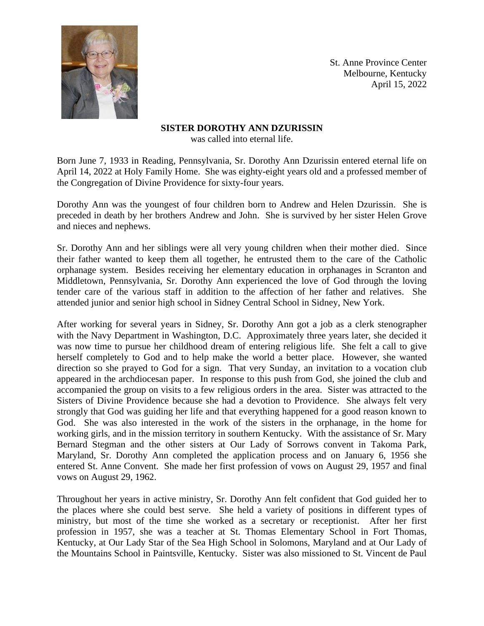

St. Anne Province Center Melbourne, Kentucky April 15, 2022

## **SISTER DOROTHY ANN DZURISSIN**

was called into eternal life.

Born June 7, 1933 in Reading, Pennsylvania, Sr. Dorothy Ann Dzurissin entered eternal life on April 14, 2022 at Holy Family Home. She was eighty-eight years old and a professed member of the Congregation of Divine Providence for sixty-four years.

Dorothy Ann was the youngest of four children born to Andrew and Helen Dzurissin. She is preceded in death by her brothers Andrew and John. She is survived by her sister Helen Grove and nieces and nephews.

Sr. Dorothy Ann and her siblings were all very young children when their mother died. Since their father wanted to keep them all together, he entrusted them to the care of the Catholic orphanage system. Besides receiving her elementary education in orphanages in Scranton and Middletown, Pennsylvania, Sr. Dorothy Ann experienced the love of God through the loving tender care of the various staff in addition to the affection of her father and relatives. She attended junior and senior high school in Sidney Central School in Sidney, New York.

After working for several years in Sidney, Sr. Dorothy Ann got a job as a clerk stenographer with the Navy Department in Washington, D.C. Approximately three years later, she decided it was now time to pursue her childhood dream of entering religious life. She felt a call to give herself completely to God and to help make the world a better place. However, she wanted direction so she prayed to God for a sign. That very Sunday, an invitation to a vocation club appeared in the archdiocesan paper. In response to this push from God, she joined the club and accompanied the group on visits to a few religious orders in the area. Sister was attracted to the Sisters of Divine Providence because she had a devotion to Providence. She always felt very strongly that God was guiding her life and that everything happened for a good reason known to God. She was also interested in the work of the sisters in the orphanage, in the home for working girls, and in the mission territory in southern Kentucky. With the assistance of Sr. Mary Bernard Stegman and the other sisters at Our Lady of Sorrows convent in Takoma Park, Maryland, Sr. Dorothy Ann completed the application process and on January 6, 1956 she entered St. Anne Convent. She made her first profession of vows on August 29, 1957 and final vows on August 29, 1962.

Throughout her years in active ministry, Sr. Dorothy Ann felt confident that God guided her to the places where she could best serve. She held a variety of positions in different types of ministry, but most of the time she worked as a secretary or receptionist. After her first profession in 1957, she was a teacher at St. Thomas Elementary School in Fort Thomas, Kentucky, at Our Lady Star of the Sea High School in Solomons, Maryland and at Our Lady of the Mountains School in Paintsville, Kentucky. Sister was also missioned to St. Vincent de Paul